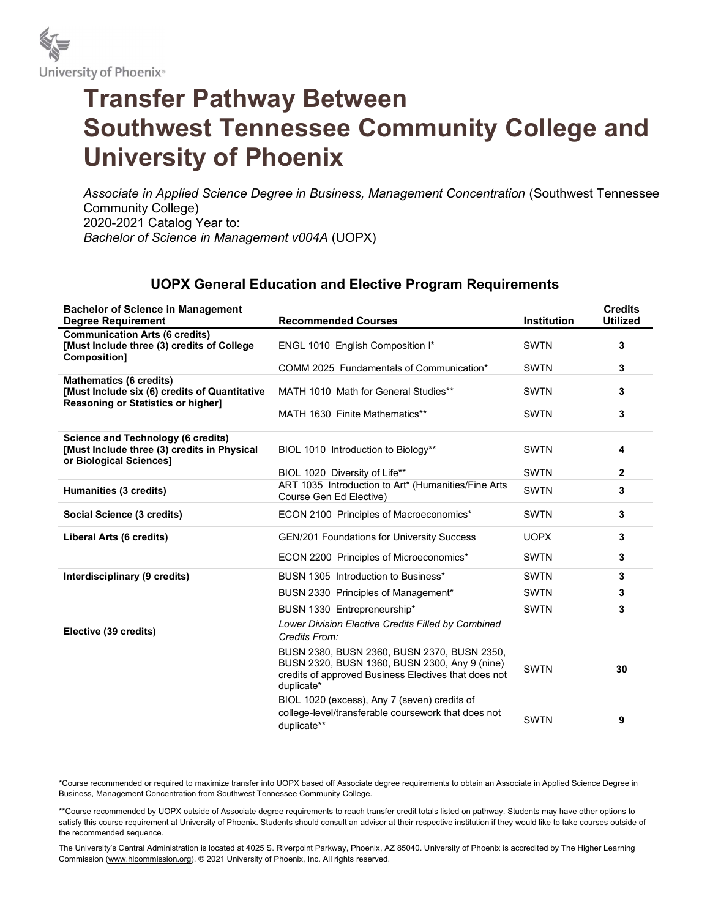

## Transfer Pathway Between Southwest Tennessee Community College and University of Phoenix

Associate in Applied Science Degree in Business, Management Concentration (Southwest Tennessee Community College) 2020-2021 Catalog Year to: Bachelor of Science in Management v004A (UOPX)

## UOPX General Education and Elective Program Requirements

| <b>Bachelor of Science in Management</b><br><b>Degree Requirement</b>                                               | <b>Recommended Courses</b>                                                                                                                                         | <b>Institution</b> | <b>Credits</b><br><b>Utilized</b> |
|---------------------------------------------------------------------------------------------------------------------|--------------------------------------------------------------------------------------------------------------------------------------------------------------------|--------------------|-----------------------------------|
| <b>Communication Arts (6 credits)</b><br>[Must Include three (3) credits of College<br>Composition]                 | ENGL 1010 English Composition I*                                                                                                                                   | <b>SWTN</b>        | 3                                 |
|                                                                                                                     | COMM 2025 Fundamentals of Communication*                                                                                                                           | <b>SWTN</b>        | 3                                 |
| <b>Mathematics (6 credits)</b><br>[Must Include six (6) credits of Quantitative                                     | MATH 1010 Math for General Studies**                                                                                                                               | <b>SWTN</b>        | 3                                 |
| <b>Reasoning or Statistics or higher]</b>                                                                           | MATH 1630 Finite Mathematics**                                                                                                                                     | <b>SWTN</b>        | 3                                 |
| <b>Science and Technology (6 credits)</b><br>[Must Include three (3) credits in Physical<br>or Biological Sciences] | BIOL 1010 Introduction to Biology**                                                                                                                                | <b>SWTN</b>        | 4                                 |
|                                                                                                                     | BIOL 1020 Diversity of Life**                                                                                                                                      | <b>SWTN</b>        | 2                                 |
| Humanities (3 credits)                                                                                              | ART 1035 Introduction to Art* (Humanities/Fine Arts<br>Course Gen Ed Elective)                                                                                     | <b>SWTN</b>        | 3                                 |
| Social Science (3 credits)                                                                                          | ECON 2100 Principles of Macroeconomics*                                                                                                                            | <b>SWTN</b>        | 3                                 |
| Liberal Arts (6 credits)                                                                                            | <b>GEN/201 Foundations for University Success</b>                                                                                                                  | <b>UOPX</b>        | 3                                 |
|                                                                                                                     | ECON 2200 Principles of Microeconomics*                                                                                                                            | <b>SWTN</b>        | 3                                 |
| Interdisciplinary (9 credits)                                                                                       | BUSN 1305 Introduction to Business*                                                                                                                                | <b>SWTN</b>        | 3                                 |
|                                                                                                                     | BUSN 2330 Principles of Management*                                                                                                                                | <b>SWTN</b>        | 3                                 |
|                                                                                                                     | BUSN 1330 Entrepreneurship*                                                                                                                                        | <b>SWTN</b>        | 3                                 |
| Elective (39 credits)                                                                                               | Lower Division Elective Credits Filled by Combined<br>Credits From:                                                                                                |                    |                                   |
|                                                                                                                     | BUSN 2380, BUSN 2360, BUSN 2370, BUSN 2350,<br>BUSN 2320, BUSN 1360, BUSN 2300, Any 9 (nine)<br>credits of approved Business Electives that does not<br>duplicate* | <b>SWTN</b>        | 30                                |
|                                                                                                                     | BIOL 1020 (excess), Any 7 (seven) credits of<br>college-level/transferable coursework that does not<br>duplicate**                                                 | <b>SWTN</b>        | 9                                 |

\*Course recommended or required to maximize transfer into UOPX based off Associate degree requirements to obtain an Associate in Applied Science Degree in Business, Management Concentration from Southwest Tennessee Community College.

\*\*Course recommended by UOPX outside of Associate degree requirements to reach transfer credit totals listed on pathway. Students may have other options to satisfy this course requirement at University of Phoenix. Students should consult an advisor at their respective institution if they would like to take courses outside of the recommended sequence.

The University's Central Administration is located at 4025 S. Riverpoint Parkway, Phoenix, AZ 85040. University of Phoenix is accredited by The Higher Learning Commission (www.hlcommission.org). © 2021 University of Phoenix, Inc. All rights reserved.